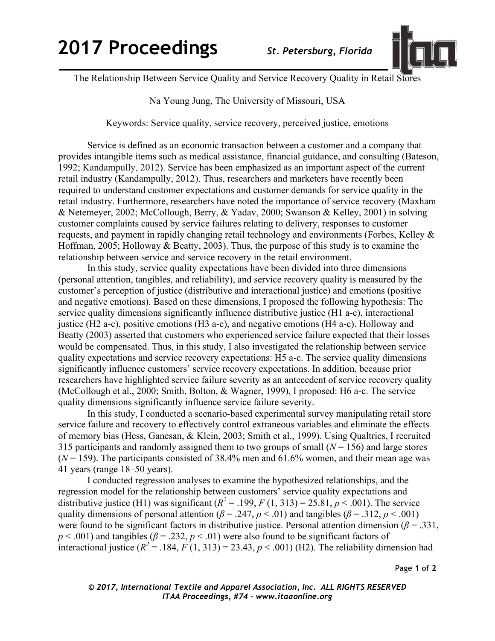

The Relationship Between Service Quality and Service Recovery Quality in Retail Stores

Na Young Jung, The University of Missouri, USA

Keywords: Service quality, service recovery, perceived justice, emotions

Service is defined as an economic transaction between a customer and a company that provides intangible items such as medical assistance, financial guidance, and consulting (Bateson, 1992; Kandampully, 2012). Service has been emphasized as an important aspect of the current retail industry (Kandampully, 2012). Thus, researchers and marketers have recently been required to understand customer expectations and customer demands for service quality in the retail industry. Furthermore, researchers have noted the importance of service recovery (Maxham & Netemeyer, 2002; McCollough, Berry, & Yadav, 2000; Swanson & Kelley, 2001) in solving customer complaints caused by service failures relating to delivery, responses to customer requests, and payment in rapidly changing retail technology and environments (Forbes, Kelley & Hoffman, 2005; Holloway & Beatty, 2003). Thus, the purpose of this study is to examine the relationship between service and service recovery in the retail environment.

In this study, service quality expectations have been divided into three dimensions (personal attention, tangibles, and reliability), and service recovery quality is measured by the customer's perception of justice (distributive and interactional justice) and emotions (positive and negative emotions). Based on these dimensions, I proposed the following hypothesis: The service quality dimensions significantly influence distributive justice (H1 a-c), interactional justice (H2 a-c), positive emotions (H3 a-c), and negative emotions (H4 a-c). Holloway and Beatty (2003) asserted that customers who experienced service failure expected that their losses would be compensated. Thus, in this study, I also investigated the relationship between service quality expectations and service recovery expectations: H5 a-c. The service quality dimensions significantly influence customers' service recovery expectations. In addition, because prior researchers have highlighted service failure severity as an antecedent of service recovery quality (McCollough et al., 2000; Smith, Bolton, & Wagner, 1999), I proposed: H6 a-c. The service quality dimensions significantly influence service failure severity.

In this study, I conducted a scenario-based experimental survey manipulating retail store service failure and recovery to effectively control extraneous variables and eliminate the effects of memory bias (Hess, Ganesan, & Klein, 2003; Smith et al., 1999). Using Qualtrics, I recruited 315 participants and randomly assigned them to two groups of small  $(N = 156)$  and large stores  $(N = 159)$ . The participants consisted of 38.4% men and 61.6% women, and their mean age was 41 years (range 18–50 years).

I conducted regression analyses to examine the hypothesized relationships, and the regression model for the relationship between customers' service quality expectations and distributive justice (H1) was significant  $(R^2 = .199, F(1, 313) = 25.81, p < .001)$ . The service quality dimensions of personal attention ( $\beta$  = .247,  $p$  < .01) and tangibles ( $\beta$  = .312,  $p$  < .001) were found to be significant factors in distributive justice. Personal attention dimension ( $\beta$  = .331,  $p < .001$ ) and tangibles ( $\beta = .232$ ,  $p < .01$ ) were also found to be significant factors of interactional justice  $(R^2 = .184, F(1, 313) = 23.43, p < .001)$  (H2). The reliability dimension had

Page **1** of **2**